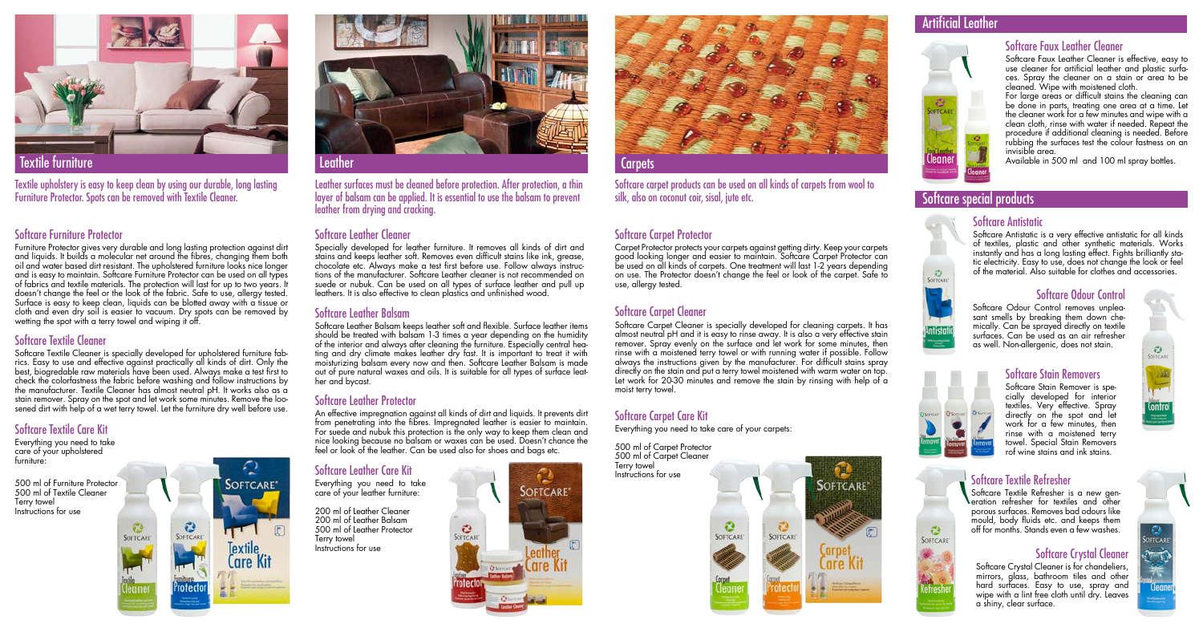#### Artificial Leather





### Softcare Carpet Care Kit

Everything you need to take care of your carpets:

Softcare carpet products can be used on all kinds of carpets from wool to silk, also on coconut coir, sisal, jute etc.

500 ml of Carpet Protector 500 ml of Carpet Cleaner Terry towel Instructions for use

Furniture Protector gives very durable and long lasting protection against dirt and liquids. It builds a molecular net around the fibres, changing them both oil and water based dirt resistant. The upholstered furniture looks nice longer and is easy to maintain. Softcare Furniture Protector can be used on all types of fabrics and textile materials. The protection will last for up to two years. It doesn't change the feel or the look of the fabric. Safe to use, allergy tested. Surface is easy to keep clean, liquids can be blotted away with a tissue or cloth and even dry soil is easier to vacuum. Dry spots can be removed by wetting the spot with a terry towel and wiping it off.

#### Softcare special products

#### Softcare Furniture Protector

Everything you need to take care of your upholstered furniture.

Softcare Textile Cleaner is specially developed for upholstered furniture fabrics. Easy to use and effective against practically all kinds of dirt. Only the best, biogredable raw materials have been used. Always make a test first to check the colorfastness the fabric before washing and follow instructions by the manufacturer. Textile Cleaner has almost neutral pH. It works also as a stain remover. Spray on the spot and let work some minutes. Remove the loosened dirt with help of a wet terry towel. Let the furniture dry well before use.

### Softcare Textile Care Kit

An effective impregnation against all kinds of dirt and liquids. It prevents dirt from penetrating into the fibres. Impregnated leather is easier to maintain. For suede and nubuk this protection is the only way to keep them clean and nice looking because no balsam or waxes can be used. Doesn't chance the feel or look of the leather. Can be used also for shoes and bags etc.

500 ml of Furniture Protector 500 ml of Textile Cleaner Terry towel Instructions for use



#### Softcare Textile Cleaner

Textile upholstery is easy to keep clean by using our durable, long lasting Furniture Protector. Spots can be removed with Textile Cleaner.



Textile furniture

### Softcare Leather Protector

### Softcare Leather Cleaner

For large areas or difficult stains the cleaning can be done in parts, treating one area at a time. Let the cleaner work for a few minutes and wipe with a clean cloth, rinse with water if needed. Repeat the procedure if additional cleaning is needed. Before rubbing the surfaces test the colour fastness on an invisible area.

Specially developed for leather furniture. It removes all kinds of dirt and stains and keeps leather soft. Removes even difficult stains like ink, grease, chocolate etc. Always make a test first before use. Follow always instructions of the manufacturer. Softcare Leather cleaner is not recommended on suede or nubuk. Can be used on all types of surface leather and pull up leathers. It is also effective to clean plastics and unfinished wood.

> Softcare Odour Control removes unpleasant smells by breaking them down chemically. Can be sprayed directly on textile surfaces. Can be used as an air refresher as well. Non-allergenic, does not stain.



Leather surfaces must be cleaned before protection. After protection, a thin layer of balsam can be applied. It is essential to use the balsam to prevent leather from drying and cracking.

#### Softcare Leather Balsam

Everything you need to take care of your leather furniture: 200 ml of Leather Cleaner 200 ml of Leather Balsam 500 ml of Leather Protector Terry towel<br>Instructions for use



Softcare Leather Balsam keeps leather soft and flexible. Surface leather items should be treated with balsam 1-3 times a year depending on the humidity of the interior and always after cleaning the furniture. Especially central heating and dry climate makes leather dry fast. It is important to treat it with moisturizing balsam every now and then. Softcare Leather Balsam is made out of pure natural waxes and oils. It is suitable for all types of surface leather and bycast.



### Softcare Carpet Protector

Carpet Protector protects your carpets against getting dirty. Keep your carpets good looking longer and easier to maintain. Softcare Carpet Protector can be used on all kinds of carpets. One treatment will last 1-2 years depending on use. The Protector doesn't change the feel or look of the carpet. Safe to use, allergy tested.

### Softcare Carpet Cleaner

Softcare Carpet Cleaner is specially developed for cleaning carpets. It has almost neutral pH and it is easy to rinse away. It is also a very effective stain remover. Spray evenly on the surface and let work for some minutes, then rinse with a moistened terry towel or with running water if possible. Follow always the instructions given by the manufacturer. For difficult stains spray directly on the stain and put a terry towel moistened with warm water on top. Let work for 20-30 minutes and remove the stain by rinsing with help of a moist terry towel.

#### Softcare Faux Leather Cleaner

Softcare Faux Leather Cleaner is effective, easy to use cleaner for artificial leather and plastic surfaces. Spray the cleaner on a stain or area to be cleaned. Wipe with moistened cloth.

Available in 500 ml and 100 ml spray bottles.

#### Softcare Antistatic

Softcare Antistatic is a very effective antistatic for all kinds of textiles, plastic and other synthetic materials. Works instantly and has a long lasting effect. Fights brilliantly static electricity. Easy to use, does not change the look or feel of the material. Also suitable for clothes and accessories.

#### Softcare Odour Control

#### Softcare Stain Removers

Softcare Stain Remover is specially developed for interior textiles. Very effective. Spray directly on the spot and let work for a few minutes, then rinse with a moistened terry towel. Special Stain Removers rof wine stains and ink stains.



#### Softcare Textile Refresher

Softcare Textile Refresher is a new generation refresher for textiles and other porous surfaces. Removes bad odours like mould, body fluids etc. and keeps them off for months. Stands even a few washes.

## Softcare Leather Care Kit













Softcare Crystal Cleaner is for chandeliers, mirrors, glass, bathroom tiles and other hard surfaces. Easy to use, spray and wipe with a lint free cloth until dry. Leaves a shiny, clear surface.